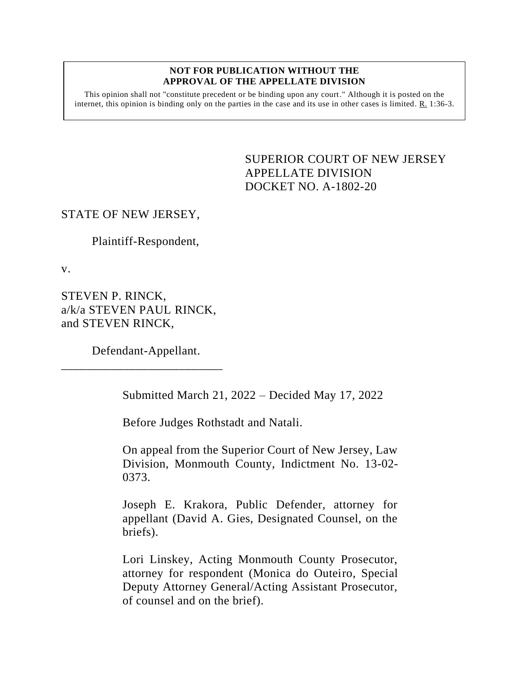#### **NOT FOR PUBLICATION WITHOUT THE APPROVAL OF THE APPELLATE DIVISION**

This opinion shall not "constitute precedent or be binding upon any court." Although it is posted on the internet, this opinion is binding only on the parties in the case and its use in other cases is limited.  $R_1$  1:36-3.

> <span id="page-0-0"></span>SUPERIOR COURT OF NEW JERSEY APPELLATE DIVISION DOCKET NO. A-1802-20

#### STATE OF NEW JERSEY,

Plaintiff-Respondent,

v.

STEVEN P. RINCK, a/k/a STEVEN PAUL RINCK, and STEVEN RINCK,

Defendant-Appellant.

\_\_\_\_\_\_\_\_\_\_\_\_\_\_\_\_\_\_\_\_\_\_\_\_\_\_

Submitted March 21, 2022 – Decided May 17, 2022

Before Judges Rothstadt and Natali.

On appeal from the Superior Court of New Jersey, Law Division, Monmouth County, Indictment No. 13-02- 0373.

Joseph E. Krakora, Public Defender, attorney for appellant (David A. Gies, Designated Counsel, on the briefs).

Lori Linskey, Acting Monmouth County Prosecutor, attorney for respondent (Monica do Outeiro, Special Deputy Attorney General/Acting Assistant Prosecutor, of counsel and on the brief).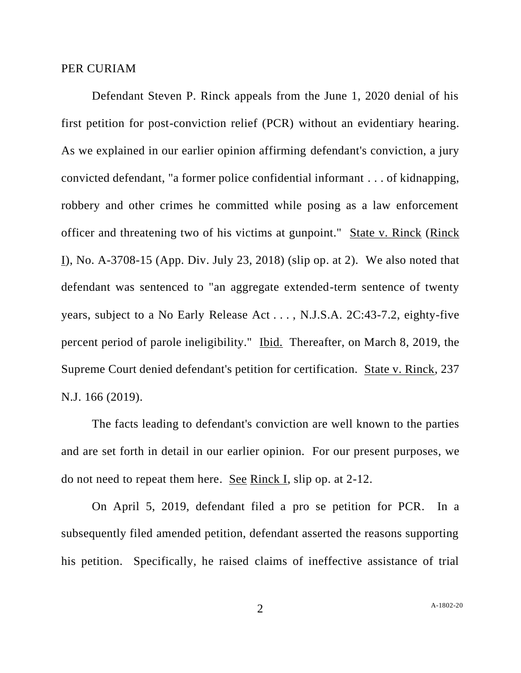#### PER CURIAM

Defendant Steven P. Rinck appeals from the June 1, 2020 denial of his first petition for post-conviction relief (PCR) without an evidentiary hearing. As we explained in our earlier opinion affirming defendant's conviction, a jury convicted defendant, "a former police confidential informant . . . of kidnapping, robbery and other crimes he committed while posing as a law enforcement officer and threatening two of his victims at gunpoint." State v. Rinck (Rinck I), No. A-3708-15 (App. Div. July 23, 2018) (slip op. at 2). We also noted that defendant was sentenced to "an aggregate extended-term sentence of twenty years, subject to a No Early Release Act . . . , N.J.S.A. 2C:43-7.2, eighty-five percent period of parole ineligibility." Ibid. Thereafter, on March 8, 2019, the Supreme Court denied defendant's petition for certification. State v. Rinck, 237 N.J. 166 (2019).

The facts leading to defendant's conviction are well known to the parties and are set forth in detail in our earlier opinion. For our present purposes, we do not need to repeat them here. See Rinck I, slip op. at 2-12.

On April 5, 2019, defendant filed a pro se petition for PCR. In a subsequently filed amended petition, defendant asserted the reasons supporting his petition. Specifically, he raised claims of ineffective assistance of trial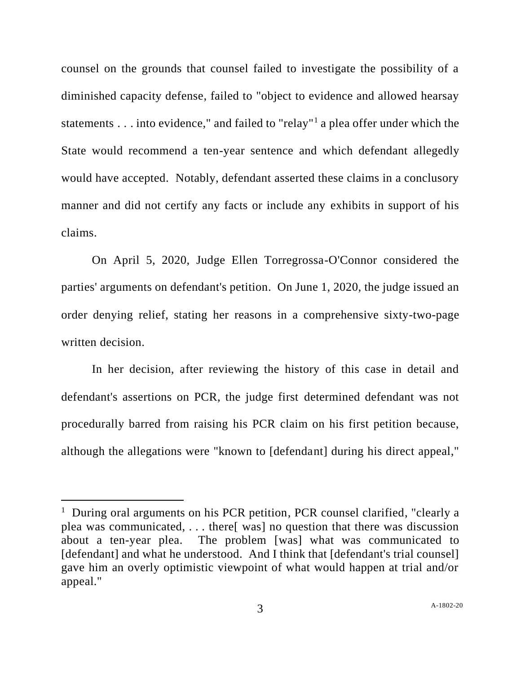counsel on the grounds that counsel failed to investigate the possibility of a diminished capacity defense, failed to "object to evidence and allowed hearsay statements . . . into evidence," and failed to "relay"<sup>1</sup> a plea offer under which the State would recommend a ten-year sentence and which defendant allegedly would have accepted. Notably, defendant asserted these claims in a conclusory manner and did not certify any facts or include any exhibits in support of his claims.

On April 5, 2020, Judge Ellen Torregrossa-O'Connor considered the parties' arguments on defendant's petition. On June 1, 2020, the judge issued an order denying relief, stating her reasons in a comprehensive sixty-two-page written decision.

In her decision, after reviewing the history of this case in detail and defendant's assertions on PCR, the judge first determined defendant was not procedurally barred from raising his PCR claim on his first petition because, although the allegations were "known to [defendant] during his direct appeal,"

<sup>&</sup>lt;sup>1</sup> During oral arguments on his PCR petition, PCR counsel clarified, "clearly a plea was communicated, . . . there[ was] no question that there was discussion about a ten-year plea. The problem [was] what was communicated to [defendant] and what he understood. And I think that [defendant's trial counsel] gave him an overly optimistic viewpoint of what would happen at trial and/or appeal."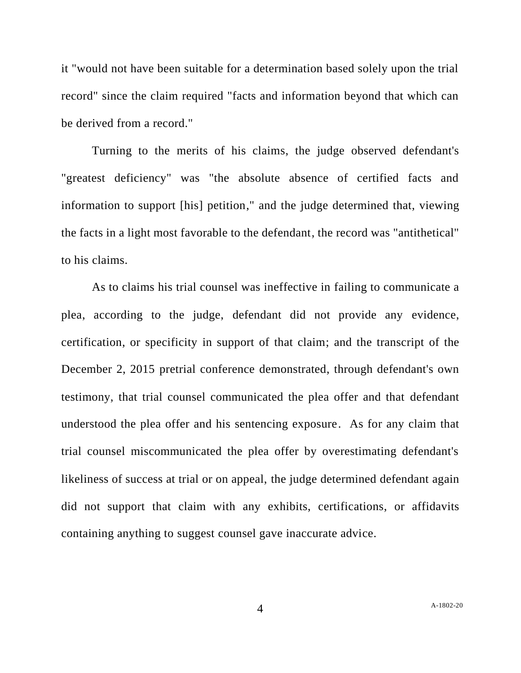it "would not have been suitable for a determination based solely upon the trial record" since the claim required "facts and information beyond that which can be derived from a record."

Turning to the merits of his claims, the judge observed defendant's "greatest deficiency" was "the absolute absence of certified facts and information to support [his] petition," and the judge determined that, viewing the facts in a light most favorable to the defendant, the record was "antithetical" to his claims.

As to claims his trial counsel was ineffective in failing to communicate a plea, according to the judge, defendant did not provide any evidence, certification, or specificity in support of that claim; and the transcript of the December 2, 2015 pretrial conference demonstrated, through defendant's own testimony, that trial counsel communicated the plea offer and that defendant understood the plea offer and his sentencing exposure. As for any claim that trial counsel miscommunicated the plea offer by overestimating defendant's likeliness of success at trial or on appeal, the judge determined defendant again did not support that claim with any exhibits, certifications, or affidavits containing anything to suggest counsel gave inaccurate advice.

4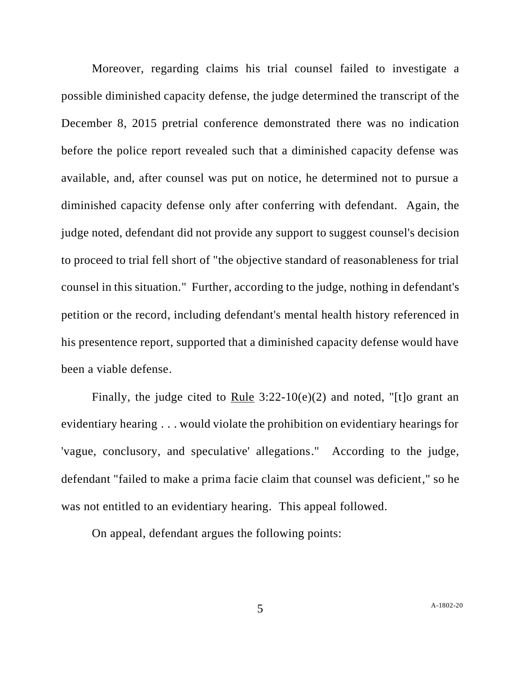Moreover, regarding claims his trial counsel failed to investigate a possible diminished capacity defense, the judge determined the transcript of the December 8, 2015 pretrial conference demonstrated there was no indication before the police report revealed such that a diminished capacity defense was available, and, after counsel was put on notice, he determined not to pursue a diminished capacity defense only after conferring with defendant. Again, the judge noted, defendant did not provide any support to suggest counsel's decision to proceed to trial fell short of "the objective standard of reasonableness for trial counsel in this situation." Further, according to the judge, nothing in defendant's petition or the record, including defendant's mental health history referenced in his presentence report, supported that a diminished capacity defense would have been a viable defense.

Finally, the judge cited to Rule  $3:22-10(e)(2)$  and noted, "[t]o grant an evidentiary hearing . . . would violate the prohibition on evidentiary hearings for 'vague, conclusory, and speculative' allegations." According to the judge, defendant "failed to make a prima facie claim that counsel was deficient," so he was not entitled to an evidentiary hearing. This appeal followed.

On appeal, defendant argues the following points: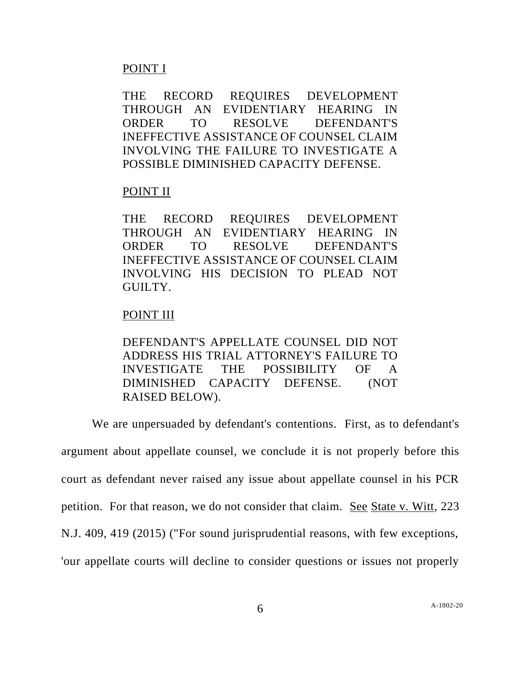# POINT I

THE RECORD REQUIRES DEVELOPMENT THROUGH AN EVIDENTIARY HEARING IN ORDER TO RESOLVE DEFENDANT'S INEFFECTIVE ASSISTANCE OF COUNSEL CLAIM INVOLVING THE FAILURE TO INVESTIGATE A POSSIBLE DIMINISHED CAPACITY DEFENSE.

# POINT II

THE RECORD REQUIRES DEVELOPMENT THROUGH AN EVIDENTIARY HEARING IN ORDER TO RESOLVE DEFENDANT'S INEFFECTIVE ASSISTANCE OF COUNSEL CLAIM INVOLVING HIS DECISION TO PLEAD NOT GUILTY.

# POINT III

DEFENDANT'S APPELLATE COUNSEL DID NOT ADDRESS HIS TRIAL ATTORNEY'S FAILURE TO INVESTIGATE THE POSSIBILITY OF A DIMINISHED CAPACITY DEFENSE. (NOT RAISED BELOW).

We are unpersuaded by defendant's contentions. First, as to defendant's argument about appellate counsel, we conclude it is not properly before this court as defendant never raised any issue about appellate counsel in his PCR petition. For that reason, we do not consider that claim. See State v. Witt, 223 N.J. 409, 419 (2015) ("For sound jurisprudential reasons, with few exceptions, 'our appellate courts will decline to consider questions or issues not properly